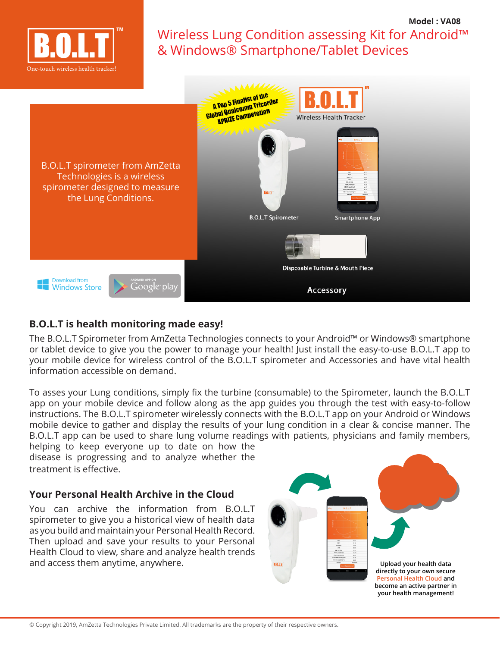

## Wireless Lung Condition assessing Kit for Android™ & Windows® Smartphone/Tablet Devices **Model : VA08**



## **B.O.L.T is health monitoring made easy!**

The B.O.L.T Spirometer from AmZetta Technologies connects to your Android™ or Windows® smartphone or tablet device to give you the power to manage your health! Just install the easy-to-use B.O.L.T app to your mobile device for wireless control of the B.O.L.T spirometer and Accessories and have vital health information accessible on demand.

To asses your Lung conditions, simply fix the turbine (consumable) to the Spirometer, launch the B.O.L.T app on your mobile device and follow along as the app guides you through the test with easy-to-follow instructions. The B.O.L.T spirometer wirelessly connects with the B.O.L.T app on your Android or Windows mobile device to gather and display the results of your lung condition in a clear & concise manner. The B.O.L.T app can be used to share lung volume readings with patients, physicians and family members,

helping to keep everyone up to date on how the disease is progressing and to analyze whether the treatment is effective.

## **Your Personal Health Archive in the Cloud**

You can archive the information from B.O.L.T spirometer to give you a historical view of health data as you build and maintain your Personal Health Record. Then upload and save your results to your Personal Health Cloud to view, share and analyze health trends and access them anytime, anywhere.

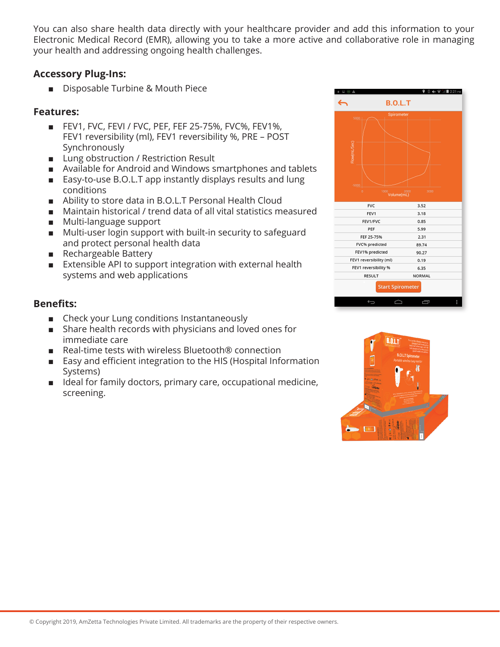You can also share health data directly with your healthcare provider and add this information to your Electronic Medical Record (EMR), allowing you to take a more active and collaborative role in managing your health and addressing ongoing health challenges.

#### **Accessory Plug-Ins:**

■ Disposable Turbine & Mouth Piece

#### **Features:**

- FEV1, FVC, FEVI / FVC, PEF, FEF 25-75%, FVC%, FEV1%, FEV1 reversibility (ml), FEV1 reversibility %, PRE – POST Synchronously
- Lung obstruction / Restriction Result
- Available for Android and Windows smartphones and tablets
- Easy-to-use B.O.L.T app instantly displays results and lung conditions
- Ability to store data in B.O.L.T Personal Health Cloud
- Maintain historical / trend data of all vital statistics measured
- Multi-language support
- Multi-user login support with built-in security to safeguard and protect personal health data
- Rechargeable Battery
- Extensible API to support integration with external health systems and web applications

#### **Benefits:**

- Check your Lung conditions Instantaneously
- Share health records with physicians and loved ones for immediate care
- Real-time tests with wireless Bluetooth<sup>®</sup> connection
- Easy and efficient integration to the HIS (Hospital Information Systems)
- Ideal for family doctors, primary care, occupational medicine, screening.